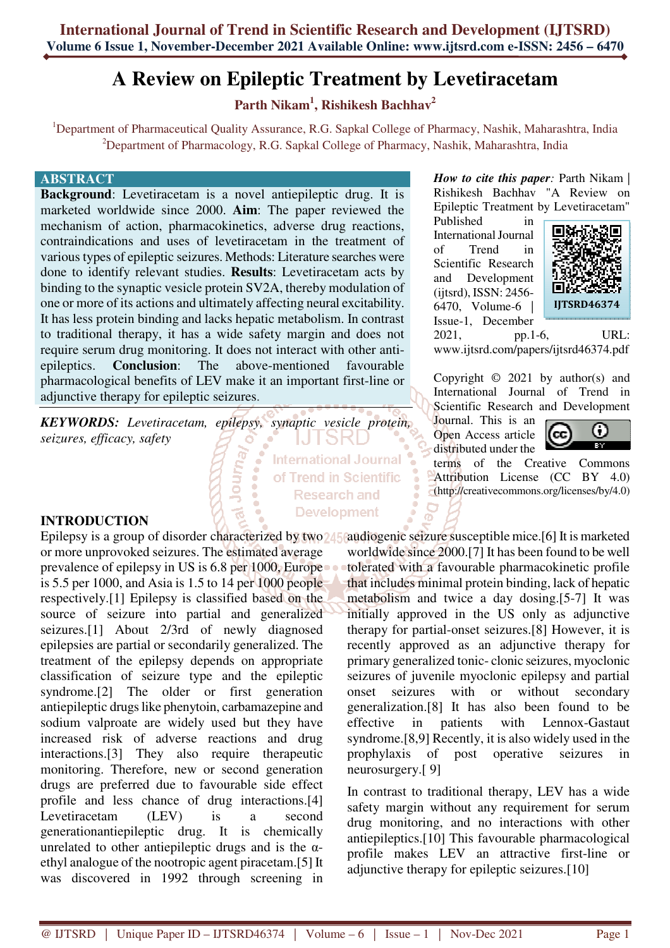# **A Review on Epileptic Treatment by Levetiracetam**

**Parth Nikam<sup>1</sup> , Rishikesh Bachhav<sup>2</sup>**

<sup>1</sup>Department of Pharmaceutical Quality Assurance, R.G. Sapkal College of Pharmacy, Nashik, Maharashtra, India <sup>2</sup>Department of Pharmacology, R.G. Sapkal College of Pharmacy, Nashik, Maharashtra, India

> **International Journal** of Trend in Scientific **Research and Development**

#### **ABSTRACT**

**Background**: Levetiracetam is a novel antiepileptic drug. It is marketed worldwide since 2000. **Aim**: The paper reviewed the mechanism of action, pharmacokinetics, adverse drug reactions, contraindications and uses of levetiracetam in the treatment of various types of epileptic seizures. Methods: Literature searches were done to identify relevant studies. **Results**: Levetiracetam acts by binding to the synaptic vesicle protein SV2A, thereby modulation of one or more of its actions and ultimately affecting neural excitability. It has less protein binding and lacks hepatic metabolism. In contrast to traditional therapy, it has a wide safety margin and does not require serum drug monitoring. It does not interact with other antiepileptics. **Conclusion**: The above-mentioned favourable pharmacological benefits of LEV make it an important first-line or adjunctive therapy for epileptic seizures.

Journ<sub>a</sub>

*KEYWORDS: Levetiracetam, epilepsy, synaptic vesicle protein, seizures, efficacy, safety* 

#### **INTRODUCTION**

Epilepsy is a group of disorder characterized by two 245 caudiogenic seizure susceptible mice.[6] It is marketed or more unprovoked seizures. The estimated average prevalence of epilepsy in US is 6.8 per 1000, Europe is 5.5 per 1000, and Asia is 1.5 to 14 per 1000 people respectively.[1] Epilepsy is classified based on the source of seizure into partial and generalized seizures.[1] About 2/3rd of newly diagnosed epilepsies are partial or secondarily generalized. The treatment of the epilepsy depends on appropriate classification of seizure type and the epileptic syndrome.[2] The older or first generation antiepileptic drugs like phenytoin, carbamazepine and sodium valproate are widely used but they have increased risk of adverse reactions and drug interactions.[3] They also require therapeutic monitoring. Therefore, new or second generation drugs are preferred due to favourable side effect profile and less chance of drug interactions.[4] Levetiracetam (LEV) is a second generationantiepileptic drug. It is chemically unrelated to other antiepileptic drugs and is the  $\alpha$ ethyl analogue of the nootropic agent piracetam.[5] It was discovered in 1992 through screening in

*How to cite this paper*: Parth Nikam | Rishikesh Bachhav "A Review on Epileptic Treatment by Levetiracetam"

Published in International Journal of Trend in Scientific Research and Development (ijtsrd), ISSN: 2456- 6470, Volume-6 | Issue-1, December



2021, pp.1-6, URL: www.ijtsrd.com/papers/ijtsrd46374.pdf

Copyright  $\odot$  2021 by author(s) and International Journal of Trend in Scientific Research and Development

Journal. This is an Open Access article distributed under the



terms of the Creative Commons Attribution License (CC BY 4.0) (http://creativecommons.org/licenses/by/4.0)

worldwide since 2000.[7] It has been found to be well tolerated with a favourable pharmacokinetic profile that includes minimal protein binding, lack of hepatic metabolism and twice a day dosing.[5-7] It was initially approved in the US only as adjunctive therapy for partial-onset seizures.[8] However, it is recently approved as an adjunctive therapy for primary generalized tonic- clonic seizures, myoclonic seizures of juvenile myoclonic epilepsy and partial onset seizures with or without secondary generalization.[8] It has also been found to be effective in patients with Lennox-Gastaut syndrome.[8,9] Recently, it is also widely used in the prophylaxis of post operative seizures in neurosurgery.[ 9]

In contrast to traditional therapy, LEV has a wide safety margin without any requirement for serum drug monitoring, and no interactions with other antiepileptics.[10] This favourable pharmacological profile makes LEV an attractive first-line or adjunctive therapy for epileptic seizures.[10]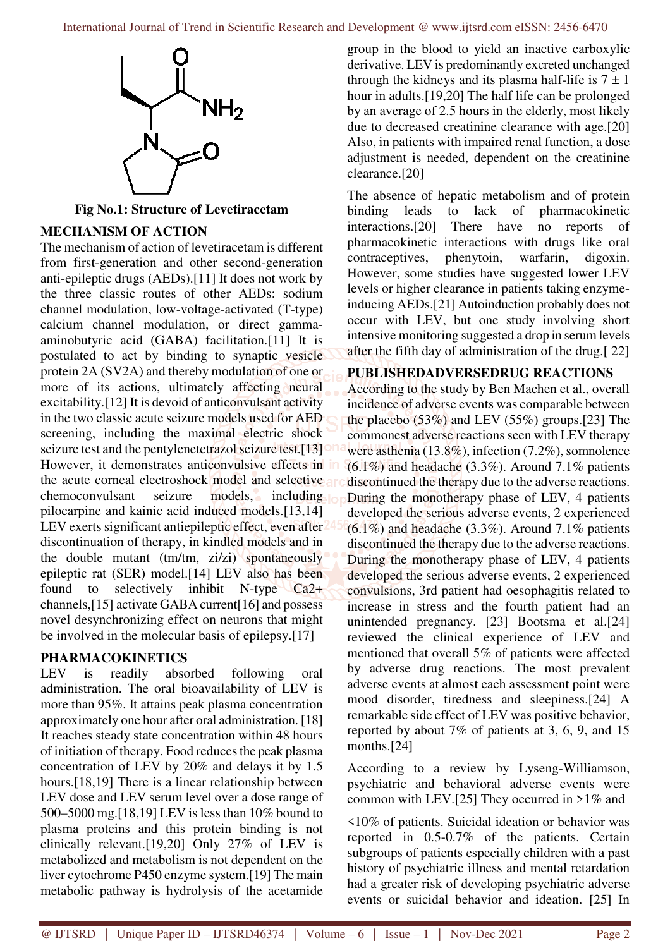

**Fig No.1: Structure of Levetiracetam** 

## **MECHANISM OF ACTION**

The mechanism of action of levetiracetam is different from first-generation and other second-generation anti-epileptic drugs (AEDs).[11] It does not work by the three classic routes of other AEDs: sodium channel modulation, low-voltage-activated (T-type) calcium channel modulation, or direct gammaaminobutyric acid (GABA) facilitation.[11] It is postulated to act by binding to synaptic vesicle protein 2A (SV2A) and thereby modulation of one or more of its actions, ultimately affecting neural excitability.[12] It is devoid of anticonvulsant activity in the two classic acute seizure models used for AED screening, including the maximal electric shock seizure test and the pentylenetetrazol seizure test.[13] However, it demonstrates anticonvulsive effects in in the acute corneal electroshock model and selective chemoconvulsant seizure models, including pilocarpine and kainic acid induced models.[13,14] LEV exerts significant antiepileptic effect, even after discontinuation of therapy, in kindled models and in the double mutant (tm/tm, zi/zi) spontaneously epileptic rat (SER) model.[14] LEV also has been found to selectively inhibit N-type Ca2+ channels,[15] activate GABA current[16] and possess novel desynchronizing effect on neurons that might be involved in the molecular basis of epilepsy.[17]

## **PHARMACOKINETICS**

LEV is readily absorbed following oral administration. The oral bioavailability of LEV is more than 95%. It attains peak plasma concentration approximately one hour after oral administration. [18] It reaches steady state concentration within 48 hours of initiation of therapy. Food reduces the peak plasma concentration of LEV by 20% and delays it by 1.5 hours.[18,19] There is a linear relationship between LEV dose and LEV serum level over a dose range of 500–5000 mg.[18,19] LEV is less than 10% bound to plasma proteins and this protein binding is not clinically relevant.[19,20] Only 27% of LEV is metabolized and metabolism is not dependent on the liver cytochrome P450 enzyme system.[19] The main metabolic pathway is hydrolysis of the acetamide

group in the blood to yield an inactive carboxylic derivative. LEV is predominantly excreted unchanged through the kidneys and its plasma half-life is  $7 \pm 1$ hour in adults.[19,20] The half life can be prolonged by an average of 2.5 hours in the elderly, most likely due to decreased creatinine clearance with age.[20] Also, in patients with impaired renal function, a dose adjustment is needed, dependent on the creatinine clearance.[20]

The absence of hepatic metabolism and of protein binding leads to lack of pharmacokinetic interactions.[20] There have no reports of pharmacokinetic interactions with drugs like oral contraceptives, phenytoin, warfarin, digoxin. However, some studies have suggested lower LEV levels or higher clearance in patients taking enzymeinducing AEDs.[21] Autoinduction probably does not occur with LEV, but one study involving short intensive monitoring suggested a drop in serum levels after the fifth day of administration of the drug.[ 22]

#### **PUBLISHEDADVERSEDRUG REACTIONS**

According to the study by Ben Machen et al., overall incidence of adverse events was comparable between the placebo (53%) and LEV (55%) groups.[23] The commonest adverse reactions seen with LEV therapy were asthenia (13.8%), infection (7.2%), somnolence  $(6.1\%)$  and headache  $(3.3\%)$ . Around  $7.1\%$  patients discontinued the therapy due to the adverse reactions. During the monotherapy phase of LEV, 4 patients developed the serious adverse events, 2 experienced  $(6.1\%)$  and headache  $(3.3\%)$ . Around 7.1% patients discontinued the therapy due to the adverse reactions. During the monotherapy phase of LEV, 4 patients developed the serious adverse events, 2 experienced convulsions, 3rd patient had oesophagitis related to increase in stress and the fourth patient had an unintended pregnancy. [23] Bootsma et al.[24] reviewed the clinical experience of LEV and mentioned that overall 5% of patients were affected by adverse drug reactions. The most prevalent adverse events at almost each assessment point were mood disorder, tiredness and sleepiness.[24] A remarkable side effect of LEV was positive behavior, reported by about 7% of patients at 3, 6, 9, and 15 months.[24]

According to a review by Lyseng-Williamson, psychiatric and behavioral adverse events were common with LEV.[25] They occurred in  $>1\%$  and

<10% of patients. Suicidal ideation or behavior was reported in 0.5-0.7% of the patients. Certain subgroups of patients especially children with a past history of psychiatric illness and mental retardation had a greater risk of developing psychiatric adverse events or suicidal behavior and ideation. [25] In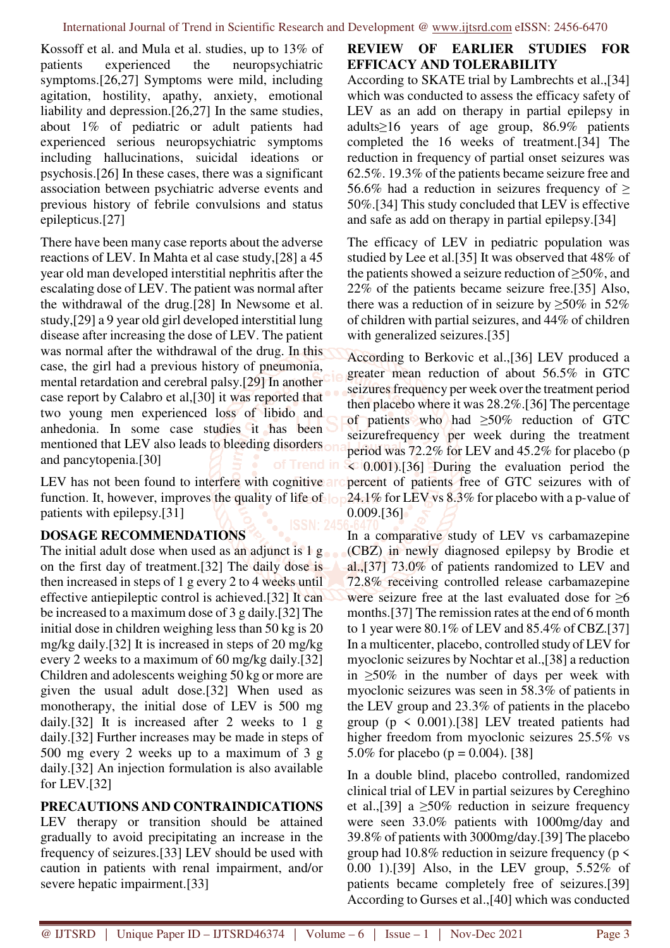Kossoff et al. and Mula et al. studies, up to 13% of patients experienced the neuropsychiatric symptoms.[26,27] Symptoms were mild, including agitation, hostility, apathy, anxiety, emotional liability and depression.[26,27] In the same studies, about 1% of pediatric or adult patients had experienced serious neuropsychiatric symptoms including hallucinations, suicidal ideations or psychosis.[26] In these cases, there was a significant association between psychiatric adverse events and previous history of febrile convulsions and status epilepticus.[27]

There have been many case reports about the adverse reactions of LEV. In Mahta et al case study,[28] a 45 year old man developed interstitial nephritis after the escalating dose of LEV. The patient was normal after the withdrawal of the drug.[28] In Newsome et al. study,[29] a 9 year old girl developed interstitial lung disease after increasing the dose of LEV. The patient was normal after the withdrawal of the drug. In this case, the girl had a previous history of pneumonia, mental retardation and cerebral palsy.[29] In another case report by Calabro et al,[30] it was reported that two young men experienced loss of libido and anhedonia. In some case studies it has been mentioned that LEV also leads to bleeding disorders on and pancytopenia.[30]

LEV has not been found to interfere with cognitive are function. It, however, improves the quality of life of lope patients with epilepsy.[31]

## **DOSAGE RECOMMENDATIONS**

The initial adult dose when used as an adjunct is 1 g. on the first day of treatment.[32] The daily dose is then increased in steps of 1 g every 2 to 4 weeks until effective antiepileptic control is achieved.[32] It can be increased to a maximum dose of 3 g daily.[32] The initial dose in children weighing less than 50 kg is 20 mg/kg daily.[32] It is increased in steps of 20 mg/kg every 2 weeks to a maximum of 60 mg/kg daily.[32] Children and adolescents weighing 50 kg or more are given the usual adult dose.[32] When used as monotherapy, the initial dose of LEV is 500 mg daily.[32] It is increased after 2 weeks to 1 g daily.[32] Further increases may be made in steps of 500 mg every 2 weeks up to a maximum of 3 g daily.[32] An injection formulation is also available for LEV.[32]

# **PRECAUTIONS AND CONTRAINDICATIONS**

LEV therapy or transition should be attained gradually to avoid precipitating an increase in the frequency of seizures.[33] LEV should be used with caution in patients with renal impairment, and/or severe hepatic impairment.[33]

# **REVIEW OF EARLIER STUDIES FOR EFFICACY AND TOLERABILITY**

According to SKATE trial by Lambrechts et al.,[34] which was conducted to assess the efficacy safety of LEV as an add on therapy in partial epilepsy in adults≥16 years of age group, 86.9% patients completed the 16 weeks of treatment.[34] The reduction in frequency of partial onset seizures was 62.5%. 19.3% of the patients became seizure free and 56.6% had a reduction in seizures frequency of ≥ 50%.[34] This study concluded that LEV is effective and safe as add on therapy in partial epilepsy.[34]

The efficacy of LEV in pediatric population was studied by Lee et al.[35] It was observed that 48% of the patients showed a seizure reduction of  $\geq$ 50%, and 22% of the patients became seizure free.[35] Also, there was a reduction of in seizure by  $\geq 50\%$  in 52% of children with partial seizures, and 44% of children with generalized seizures.[35]

According to Berkovic et al.,[36] LEV produced a greater mean reduction of about 56.5% in GTC seizures frequency per week over the treatment period then placebo where it was 28.2%.[36] The percentage of patients who had ≥50% reduction of GTC seizurefrequency per week during the treatment period was 72.2% for LEV and 45.2% for placebo (p  $\leq 0.001$ . [36] During the evaluation period the percent of patients free of GTC seizures with of 24.1% for LEV vs 8.3% for placebo with a p-value of 0.009.[36]

In a comparative study of LEV vs carbamazepine (CBZ) in newly diagnosed epilepsy by Brodie et al.,[37] 73.0% of patients randomized to LEV and 72.8% receiving controlled release carbamazepine were seizure free at the last evaluated dose for ≥6 months.[37] The remission rates at the end of 6 month to 1 year were 80.1% of LEV and 85.4% of CBZ.[37] In a multicenter, placebo, controlled study of LEV for myoclonic seizures by Nochtar et al.,[38] a reduction in  $\geq 50\%$  in the number of days per week with myoclonic seizures was seen in 58.3% of patients in the LEV group and 23.3% of patients in the placebo group ( $p \le 0.001$ ).[38] LEV treated patients had higher freedom from myoclonic seizures 25.5% vs 5.0% for placebo ( $p = 0.004$ ). [38]

In a double blind, placebo controlled, randomized clinical trial of LEV in partial seizures by Cereghino et al.,[39] a  $\geq$ 50% reduction in seizure frequency were seen 33.0% patients with 1000mg/day and 39.8% of patients with 3000mg/day.[39] The placebo group had 10.8% reduction in seizure frequency ( $p \le$ 0.00 1).[39] Also, in the LEV group, 5.52% of patients became completely free of seizures.[39] According to Gurses et al.,[40] which was conducted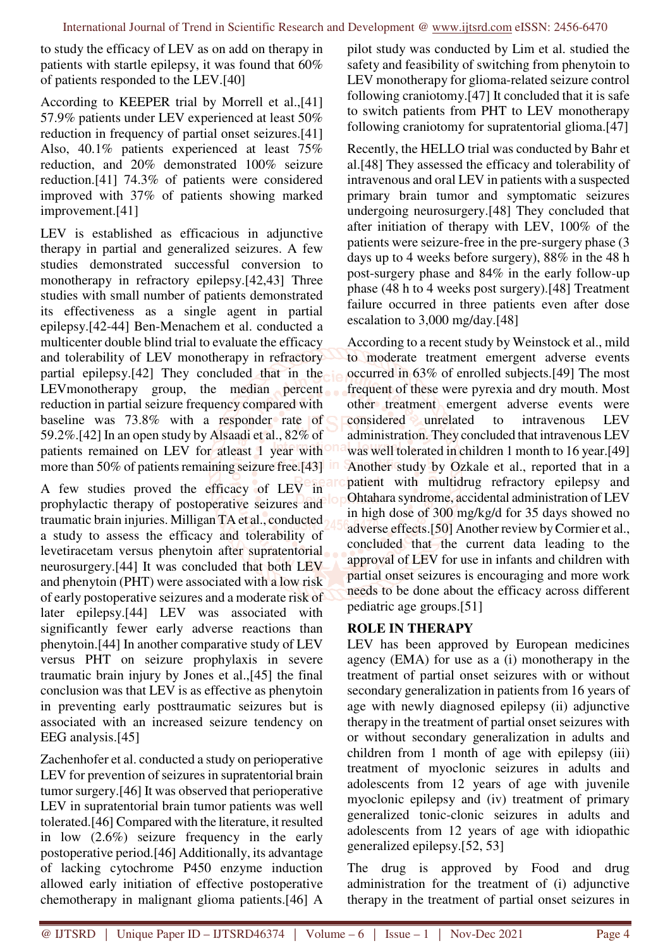to study the efficacy of LEV as on add on therapy in patients with startle epilepsy, it was found that 60% of patients responded to the LEV.[40]

According to KEEPER trial by Morrell et al.,[41] 57.9% patients under LEV experienced at least 50% reduction in frequency of partial onset seizures.[41] Also, 40.1% patients experienced at least 75% reduction, and 20% demonstrated 100% seizure reduction.[41] 74.3% of patients were considered improved with 37% of patients showing marked improvement.[41]

LEV is established as efficacious in adjunctive therapy in partial and generalized seizures. A few studies demonstrated successful conversion to monotherapy in refractory epilepsy.[42,43] Three studies with small number of patients demonstrated its effectiveness as a single agent in partial epilepsy.[42-44] Ben-Menachem et al. conducted a multicenter double blind trial to evaluate the efficacy and tolerability of LEV monotherapy in refractory partial epilepsy.[42] They concluded that in the LEVmonotherapy group, the median percent reduction in partial seizure frequency compared with baseline was 73.8% with a responder rate of 59.2%.[42] In an open study by Alsaadi et al., 82% of patients remained on LEV for atleast 1 year with more than 50% of patients remaining seizure free.[43]

A few studies proved the efficacy of LEV in prophylactic therapy of postoperative seizures and traumatic brain injuries. Milligan TA et al., conducted a study to assess the efficacy and tolerability of levetiracetam versus phenytoin after supratentorial neurosurgery.[44] It was concluded that both LEV and phenytoin (PHT) were associated with a low risk of early postoperative seizures and a moderate risk of later epilepsy.[44] LEV was associated with significantly fewer early adverse reactions than phenytoin.[44] In another comparative study of LEV versus PHT on seizure prophylaxis in severe traumatic brain injury by Jones et al.,[45] the final conclusion was that LEV is as effective as phenytoin in preventing early posttraumatic seizures but is associated with an increased seizure tendency on EEG analysis.[45]

Zachenhofer et al. conducted a study on perioperative LEV for prevention of seizures in supratentorial brain tumor surgery.[46] It was observed that perioperative LEV in supratentorial brain tumor patients was well tolerated.[46] Compared with the literature, it resulted in low (2.6%) seizure frequency in the early postoperative period.[46] Additionally, its advantage of lacking cytochrome P450 enzyme induction allowed early initiation of effective postoperative chemotherapy in malignant glioma patients.[46] A

pilot study was conducted by Lim et al. studied the safety and feasibility of switching from phenytoin to LEV monotherapy for glioma-related seizure control following craniotomy.[47] It concluded that it is safe to switch patients from PHT to LEV monotherapy following craniotomy for supratentorial glioma.[47]

Recently, the HELLO trial was conducted by Bahr et al.[48] They assessed the efficacy and tolerability of intravenous and oral LEV in patients with a suspected primary brain tumor and symptomatic seizures undergoing neurosurgery.[48] They concluded that after initiation of therapy with LEV, 100% of the patients were seizure-free in the pre-surgery phase (3 days up to 4 weeks before surgery), 88% in the 48 h post-surgery phase and 84% in the early follow-up phase (48 h to 4 weeks post surgery).[48] Treatment failure occurred in three patients even after dose escalation to 3,000 mg/day.[48]

According to a recent study by Weinstock et al., mild to moderate treatment emergent adverse events occurred in 63% of enrolled subjects.[49] The most frequent of these were pyrexia and dry mouth. Most other treatment emergent adverse events were considered unrelated to intravenous LEV administration. They concluded that intravenous LEV was well tolerated in children 1 month to 16 year.[49] Another study by Ozkale et al., reported that in a patient with multidrug refractory epilepsy and Ohtahara syndrome, accidental administration of LEV in high dose of 300 mg/kg/d for 35 days showed no adverse effects.[50] Another review by Cormier et al., concluded that the current data leading to the approval of LEV for use in infants and children with partial onset seizures is encouraging and more work needs to be done about the efficacy across different pediatric age groups.[51]

# **ROLE IN THERAPY**

LEV has been approved by European medicines agency (EMA) for use as a (i) monotherapy in the treatment of partial onset seizures with or without secondary generalization in patients from 16 years of age with newly diagnosed epilepsy (ii) adjunctive therapy in the treatment of partial onset seizures with or without secondary generalization in adults and children from 1 month of age with epilepsy (iii) treatment of myoclonic seizures in adults and adolescents from 12 years of age with juvenile myoclonic epilepsy and (iv) treatment of primary generalized tonic-clonic seizures in adults and adolescents from 12 years of age with idiopathic generalized epilepsy.[52, 53]

The drug is approved by Food and drug administration for the treatment of (i) adjunctive therapy in the treatment of partial onset seizures in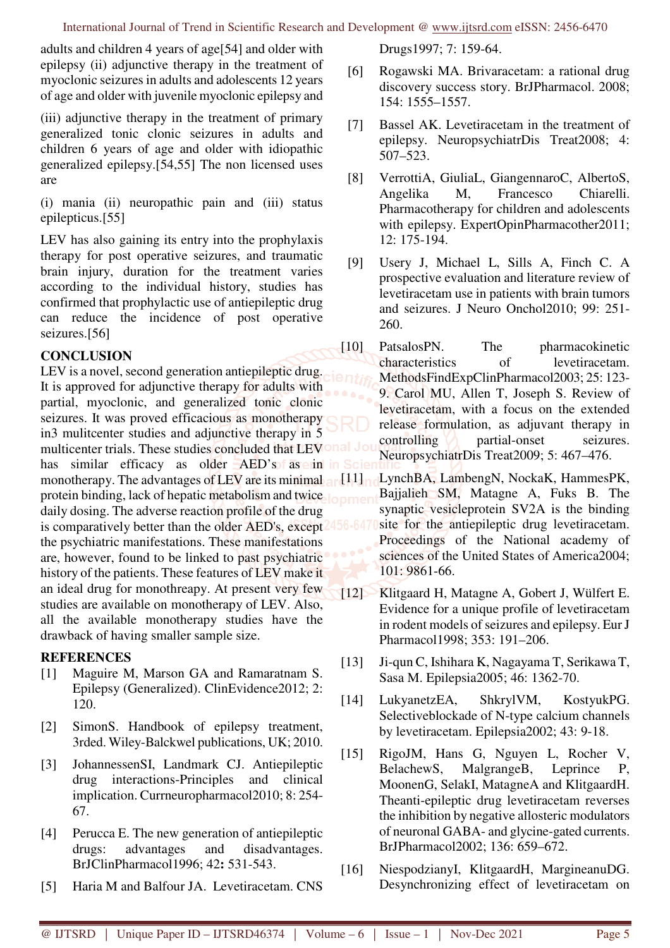adults and children 4 years of age[54] and older with epilepsy (ii) adjunctive therapy in the treatment of myoclonic seizures in adults and adolescents 12 years of age and older with juvenile myoclonic epilepsy and

(iii) adjunctive therapy in the treatment of primary generalized tonic clonic seizures in adults and children 6 years of age and older with idiopathic generalized epilepsy.[54,55] The non licensed uses are

(i) mania (ii) neuropathic pain and (iii) status epilepticus.[55]

LEV has also gaining its entry into the prophylaxis therapy for post operative seizures, and traumatic brain injury, duration for the treatment varies according to the individual history, studies has confirmed that prophylactic use of antiepileptic drug can reduce the incidence of post operative seizures.[56]

## **CONCLUSION**

LEV is a novel, second generation antiepileptic drug. It is approved for adjunctive therapy for adults with partial, myoclonic, and generalized tonic clonic seizures. It was proved efficacious as monotherapy in3 mulitcenter studies and adjunctive therapy in 5 multicenter trials. These studies concluded that LEVOnal has similar efficacy as older  $AED's$  as exin in  $\overline{\phantom{a}}$ monotherapy. The advantages of LEV are its minimal and  $11$ protein binding, lack of hepatic metabolism and twice longer daily dosing. The adverse reaction profile of the drug is comparatively better than the older AED's, except the psychiatric manifestations. These manifestations are, however, found to be linked to past psychiatric history of the patients. These features of LEV make it an ideal drug for monothreapy. At present very few studies are available on monotherapy of LEV. Also, all the available monotherapy studies have the drawback of having smaller sample size.

#### **REFERENCES**

- [1] Maguire M, Marson GA and Ramaratnam S. Epilepsy (Generalized). ClinEvidence2012; 2: 120.
- [2] SimonS. Handbook of epilepsy treatment, 3rded. Wiley-Balckwel publications, UK; 2010.
- [3] JohannessenSI, Landmark CJ. Antiepileptic drug interactions-Principles and clinical implication. Currneuropharmacol2010; 8: 254- 67.
- [4] Perucca E. The new generation of antiepileptic drugs: advantages and disadvantages. BrJClinPharmacol1996; 42**:** 531-543.
- [5] Haria M and Balfour JA. Levetiracetam. CNS

Drugs1997; 7: 159-64.

- [6] Rogawski MA. Brivaracetam: a rational drug discovery success story. BrJPharmacol. 2008; 154: 1555–1557.
- [7] Bassel AK. Levetiracetam in the treatment of epilepsy. NeuropsychiatrDis Treat2008; 4: 507–523.
- [8] VerrottiA, GiuliaL, GiangennaroC, AlbertoS, Angelika M, Francesco Chiarelli. Pharmacotherapy for children and adolescents with epilepsy. ExpertOpinPharmacother2011; 12: 175-194.
- [9] Usery J, Michael L, Sills A, Finch C. A prospective evaluation and literature review of levetiracetam use in patients with brain tumors and seizures. J Neuro Onchol2010; 99: 251- 260.
- [10] PatsalosPN. The pharmacokinetic characteristics of levetiracetam. MethodsFindExpClinPharmacol2003; 25: 123- 9. Carol MU, Allen T, Joseph S. Review of levetiracetam, with a focus on the extended release formulation, as adjuvant therapy in controlling **partial-onset** seizures. NeuropsychiatrDis Treat2009; 5: 467–476.
	- LynchBA, LambengN, NockaK, HammesPK, Bajjalieh SM, Matagne A, Fuks B. The synaptic vesicleprotein SV2A is the binding site for the antiepileptic drug levetiracetam. Proceedings of the National academy of sciences of the United States of America2004; 101: 9861-66.
- [12] Klitgaard H, Matagne A, Gobert J, Wülfert E. Evidence for a unique profile of levetiracetam in rodent models of seizures and epilepsy. Eur J Pharmacol1998; 353: 191–206.
- [13] Ji-qun C, Ishihara K, Nagayama T, Serikawa T, Sasa M. Epilepsia2005; 46: 1362-70.
- [14] LukyanetzEA, ShkrylVM, KostyukPG. Selectiveblockade of N-type calcium channels by levetiracetam. Epilepsia2002; 43: 9-18.
- [15] RigoJM, Hans G, Nguyen L, Rocher V, BelachewS, MalgrangeB, Leprince P, MoonenG, SelakI, MatagneA and KlitgaardH. Theanti-epileptic drug levetiracetam reverses the inhibition by negative allosteric modulators of neuronal GABA- and glycine-gated currents. BrJPharmacol2002; 136: 659–672.
- [16] NiespodzianyI, KlitgaardH, MargineanuDG. Desynchronizing effect of levetiracetam on